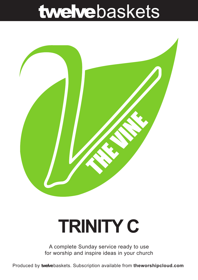## twelvebaskets



# **TRINITY C**

A complete Sunday service ready to use for worship and inspire ideas in your church

Produced by **twelve**baskets. Subscription available from **theworshipcloud.com**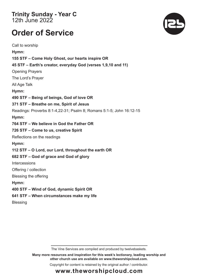**Trinity Sunday - Year C**  12th June 2022

### **Order of Service**

Call to worship **Hymn: 155 STF – Come Holy Ghost, our hearts inspire OR 45 STF – Earth's creator, everyday God (verses 1,9,10 and 11)** Opening Prayers The Lord's Prayer All Age Talk **Hymn: 490 STF – Being of beings, God of love OR 371 STF – Breathe on me, Spirit of Jesus**  Readings: Proverbs 8:1-4,22-31; Psalm 8; Romans 5:1-5; John 16:12-15 **Hymn: 764 STF – We believe in God the Father OR 726 STF – Come to us, creative Spirit**  Reflections on the readings **Hymn: 112 STF – O Lord, our Lord, throughout the earth OR 682 STF – God of grace and God of glory Intercessions** Offering / collection Blessing the offering **Hymn: 400 STF – Wind of God, dynamic Spirit OR 641 STF – When circumstances make my life Blessing** 



**Many more resources and inspiration for this week's lectionary, leading worship and other church use are available on www.theworshipcloud.com.**

Copyright for content is retained by the original author / contributor.



### **www.theworshipcloud.com**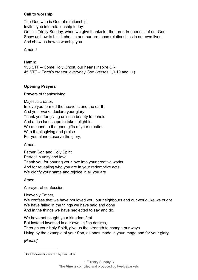#### **Call to worship**

The God who is God of relationship,

Invites you into relationship today.

On this Trinity Sunday, when we give thanks for the three-in-oneness of our God. Show us how to build, cherish and nurture those relationships in our own lives, And show us how to worship you.

<span id="page-2-0"></span>Amen 1

#### Hymn:

155 STF - Come Holy Ghost, our hearts inspire OR 45 STF – Earth's creator, everyday God (verses 1,9,10 and 11)

#### **Opening Pravers**

Prayers of thanksgiving

Majestic creator,

In love you formed the heavens and the earth

And your works declare your glory

Thank you for giving us such beauty to behold

And a rich landscape to take delight in.

We respond to the good gifts of your creation

With thanksgiving and praise

For you alone deserve the glory,

Amen.

Father, Son and Holy Spirit Perfect in unity and love Thank you for pouring your love into your creative works And for revealing who you are in your redemptive acts. We glorify your name and rejoice in all you are

Amen.

A prayer of confession

Heavenly Father.

We confess that we have not loved you, our neighbours and our world like we ought We have failed in the things we have said and done And in the things we have neglected to say and do.

We have not sought your kingdom first

But instead invested in our own selfish desires.

Through your Holy Spirit, give us the strength to change our ways

Living by the example of your Son, as ones made in your image and for your glory.

**IPause1** 

 $1$  Call to Worship written by Tim Baker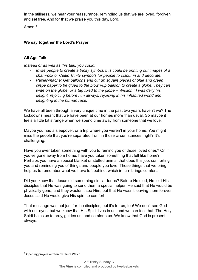In the stillness, we hear your reassurance, reminding us that we are loved, forgiven and set free. And for that we praise you this day, Lord.

<span id="page-3-1"></span>Amen.*[2](#page-3-0)*

#### **We say together the Lord's Prayer**

#### **All Age Talk**

*Instead or as well as this talk, you could:* 

- *Invite people to create a trinity symbol, this could be printing out images of a shamrock or Celtic Trinity symbols for people to colour in and decorate.*
- *Papier-mâché: Get balloons and cut up square pieces of blue and green crepe paper to be glued to the blown-up balloon to create a globe. They can write on the globe, or a tag fixed to the globe – Wisdom: I was daily his delight, rejoicing before him always, rejoicing in his inhabited world and delighting in the human race.*

We have all been through a very unique time in the past two years haven't we? The lockdowns meant that we have been at our homes more than usual. So maybe it feels a little bit strange when we spend time away from someone that we love.

Maybe you had a sleepover, or a trip where you weren't in your home. You might miss the people that you're separated from in those circumstances, right? It's challenging.

Have you ever taken something with you to remind you of those loved ones? Or, if you've gone away from home, have you taken something that felt like home? Perhaps you have a special blanket or stuffed animal that does this job, comforting you and reminding you of things and people you love. Those things that we bring help us to remember what we have left behind, which in turn brings comfort.

Did you know that Jesus did something similar for us? Before He died, He told His disciples that He was going to send them a special helper. He said that He would be physically gone, and they wouldn't see Him, but that He wasn't leaving them forever. Jesus said He would give His spirit to comfort.

That message was not just for the disciples, but it's for us, too! We don't see God with our eyes, but we know that His Spirit lives in us, and we can feel that. The Holy Spirit helps us to pray, guides us, and comforts us. We know that God is present always.

<span id="page-3-0"></span>Opening prayers written by Claire Welch *[2](#page-3-1)*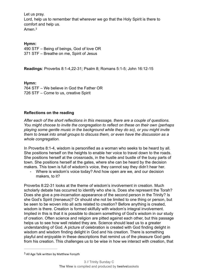Let us pray.

Lord, help us to remember that wherever we go that the Holy Spirit is there to comfort and help us. Amen.[3](#page-4-0)

<span id="page-4-1"></span>

#### **Hymn:**

490 STF – Being of beings, God of love OR 371 STF – Breathe on me, Spirit of Jesus

**Readings**: Proverbs 8:1-4,22-31; Psalm 8; Romans 5:1-5; John 16:12-15

**Hymn:** 764 STF – We believe in God the Father OR 726 STF – Come to us, creative Spirit

#### **Reflections on the reading**

*After each of the short reflections in this message, there are a couple of questions. You might choose to invite the congregation to reflect on these on their own (perhaps playing some gentle music in the background while they do so), or you might invite them to break into small groups to discuss them, or even have the discussion as a whole congregation.*

In Proverbs 8:1-4, wisdom is personified as a woman who seeks to be heard by all. She positions herself on the heights to enable her voice to travel down to the roads. She positions herself at the crossroads, in the hustle and bustle of the busy parts of town. She positions herself at the gates, where she can be heard by the decision makers. This town is full of wisdom's voice, they cannot say they didn't hear her.

Where is wisdom's voice today? And how open are we, and our decision makers, to it?

Proverbs 8:22-31 looks at the theme of wisdom's involvement in creation. Much scholarly debate has occurred to identify who she is. Does she represent the Torah? Does she give a pre-incarnation appearance of the second person in the Trinity? Is she God's Spirit (Irenaeus)? Or should she not be limited to one thing or person, but be seen to be woven into all acts related to creation? Before anything is created, wisdom is there. Creation is formed skilfully with wisdom's integral involvement. Implied in this is that it is possible to discern something of God's wisdom in our study of creation. Often science and religion are pitted against each other, but this passage helps us to see how well related they are. Science should lead us to a greater understanding of God. A picture of celebration is created with God finding delight in wisdom and wisdom finding delight in God and his creation. There is something playful and enjoyable in these descriptions that remind us of the pleasure God gets from his creation. This challenges us to be wise in how we interact with creation, that

<span id="page-4-0"></span><sup>&</sup>lt;sup>[3](#page-4-1)</sup> All Age Talk written by Matthew Forsyth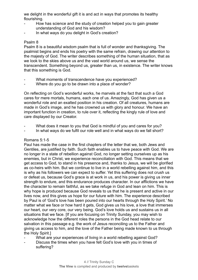we delight in the wonderful gift it is and act in ways that promotes its healthy flourishing.

- How has science and the study of creation helped you to gain greater understanding of God and his wisdom?
- In what ways do you delight in God's creation?

#### Psalm 8

Psalm 8 is a beautiful wisdom psalm that is full of wonder and thanksgiving. The psalmist begins and ends his poetry with the same refrain, drawing our attention to the majesty of God. The writer describes something of the human situation, that as we look to the skies above us and the vast world around us, we sense the transcendent. Something beyond us, greater than us, in existence. The writer knows that this something is God.

- What moments of transcendence have you experienced?
- Where do you go to be drawn into a place of wonder?

On reflecting on God's wonderful works, he marvels at the fact that such a God cares for mere mortals, humans, each one of us. Amazingly, God has given us a wonderful role and an exalted position in his creation. Of all creatures, humans are made in God's image, and he has crowned us with glory and honour. We have an important function in creation, to rule over it, reflecting the kingly rule of love and care displayed by our Creator.

- What does it mean to you that God is mindful of you and cares for you?
- In what ways do we fulfil our role well and in what ways do we fall short?

#### Romans 5:1-5

Paul has made the case in the first chapters of the letter that we, both Jews and Gentiles, are justified by faith. Such faith enables us to have peace with God. We are no longer in a state of rebellion against God, no longer setting ourselves up as his enemies, but in Christ, we experience reconciliation with God. This means that we get access to God, to stand in his presence and, thanks to Jesus, we will be glorified as co-heirs with him. But we continue to live in a world rebelling against him, and this is why as his followers we can expect to suffer. Yet this suffering does not crush us or defeat us, because God's grace is at work in us, and his power is giving us inner strength to endure, and this endurance produces character. In our afflictions we have the character to remain faithful, as we take refuge in God and lean on him. This is why hope is produced because God reveals to us that he is present and active in our lives now, and this gives us hope for our future with him. The experience described by Paul is of 'God's love has been poured into our hearts through the Holy Spirit.' No matter what we face or how hard it gets, God gives us his love, a love that immerses our heart, our very core, our very being. God's love holds us and sustains us in all situations that we face. [If you are focusing on Trinity Sunday, you may wish to acknowledge how the different roles the persons in the God head relate to our salvation in this passage e.g. the work of Jesus reconciling us to the Father and giving us access to him, and the love of the Father being made known to us through the Holy Spirit.]

- What are your experiences of living in a world rebelling against God?
- Discuss the times when you have felt God's love with you in times of suffering?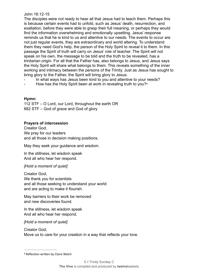#### John 16:12-15

The disciples were not ready to hear all that Jesus had to teach them. Perhaps this is because certain events had to unfold, such as Jesus' death, resurrection, and exaltation, before they were able to grasp their full meaning, or perhaps they would find the information overwhelming and emotionally upsetting. Jesus' response reminds us that he is kind to us and attentive to our needs. The events to occur are not just regular events, they are extraordinary and world altering. To understand them they need God's help, the person of the Holy Spirit to reveal it to them. In this passage the Spirit of truth will carry on Jesus' role of teacher. The Spirit will not speak on his own, the message to be told and the truth to be revealed, has a trinitarian origin. For all that the Father has, also belongs to Jesus, and Jesus says the Holy Spirit will share what belongs to them. This reveals something of the inner working and intimacy between the persons of the Trinity. Just as Jesus has sought to bring glory to the Father, the Spirit will bring glory to Jesus.

- In what ways has Jesus been kind to you and attentive to your needs?
- <span id="page-6-1"></span>How has the Holy Spirit been at work in revealing truth to you?<sup>[4](#page-6-0)</sup>

#### **Hymn:**

112 STF – O Lord, our Lord, throughout the earth OR 682 STF – God of grace and God of glory

#### **Prayers of intercession**

Creator God, We pray for our leaders and all those in decision making positions.

May they seek your guidance and wisdom.

In the stillness, let wisdom speak And all who hear her respond.

#### *[Hold a moment of quiet]*

Creator God, We thank you for scientists and all those seeking to understand your world and are acting to make it flourish.

May barriers to their work be removed and new discoveries found.

In the stillness, let wisdom speak And all who hear her respond.

*[Hold a moment of quiet]*

Creator God, Move us to care for your creation in a way that reflects your love.

<span id="page-6-0"></span>[<sup>4</sup>](#page-6-1) Reflection written by Claire Welch